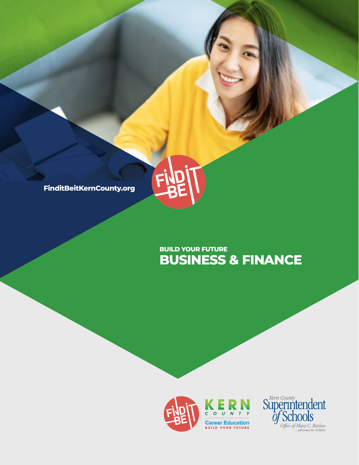

## **BUSINESS & FINANCE BUILD YOUR FUTURE**